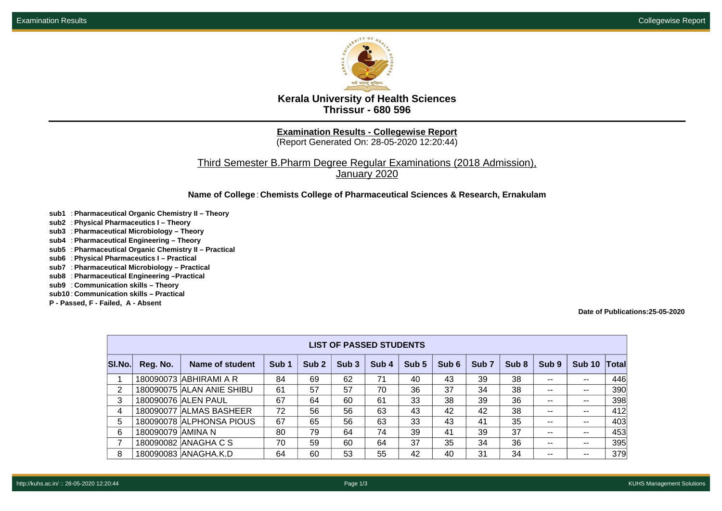

**Kerala University of Health Sciences Thrissur - 680 596**

**Examination Results - Collegewise Report**

(Report Generated On: 28-05-2020 12:20:44)

Third Semester B.Pharm Degree Regular Examinations (2018 Admission), January 2020

**Name of College**: **Chemists College of Pharmaceutical Sciences & Research, Ernakulam**

- **sub1** : **Pharmaceutical Organic Chemistry II Theory**
- **sub2** : **Physical Pharmaceutics I Theory**
- **sub3** : **Pharmaceutical Microbiology Theory**
- **sub4** : **Pharmaceutical Engineering Theory**
- **sub5** : **Pharmaceutical Organic Chemistry II Practical**
- **sub6** : **Physical Pharmaceutics I Practical**
- **sub7** : **Pharmaceutical Microbiology Practical**
- **sub8** : **Pharmaceutical Engineering –Practical**
- **sub9** : **Communication skills Theory**
- **sub10** : **Communication skills Practical**
- **P Passed, F Failed, A Absent**

**Date of Publications:25-05-2020**

| <b>LIST OF PASSED STUDENTS</b> |                    |                           |                  |                  |                  |       |       |       |                  |       |                          |               |       |
|--------------------------------|--------------------|---------------------------|------------------|------------------|------------------|-------|-------|-------|------------------|-------|--------------------------|---------------|-------|
| SI.No.                         | Reg. No.           | Name of student           | Sub <sub>1</sub> | Sub <sub>2</sub> | Sub <sub>3</sub> | Sub 4 | Sub 5 | Sub 6 | Sub <sub>7</sub> | Sub 8 | Sub 9                    | <b>Sub 10</b> | Total |
|                                |                    | 180090073 ABHIRAMI A R    | 84               | 69               | 62               | 71    | 40    | 43    | 39               | 38    | $- -$                    | --            | 446   |
| $\overline{2}$                 |                    | 180090075 ALAN ANIE SHIBU | 61               | 57               | 57               | 70    | 36    | 37    | 34               | 38    | $\overline{\phantom{m}}$ | $- -$         | 390   |
| 3                              |                    | 180090076 ALEN PAUL       | 67               | 64               | 60               | 61    | 33    | 38    | 39               | 36    | $- -$                    | --            | 398   |
| 4                              |                    | 180090077 ALMAS BASHEER   | 72               | 56               | 56               | 63    | 43    | 42    | 42               | 38    | $\sim$ $-$               |               | 412   |
| 5.                             |                    | 180090078 ALPHONSA PIOUS  | 67               | 65               | 56               | 63    | 33    | 43    | 41               | 35    | $- -$                    | --            | 403   |
| 6                              | 180090079  AMINA N |                           | 80               | 79               | 64               | 74    | 39    | 41    | 39               | 37    | $- -$                    | --            | 453   |
| 7                              |                    | 180090082 ANAGHA C S      | 70               | 59               | 60               | 64    | 37    | 35    | 34               | 36    | $- -$                    | $- -$         | 395   |
| 8                              |                    | 180090083 ANAGHA.K.D      | 64               | 60               | 53               | 55    | 42    | 40    | 31               | 34    | $- -$                    | --            | 379   |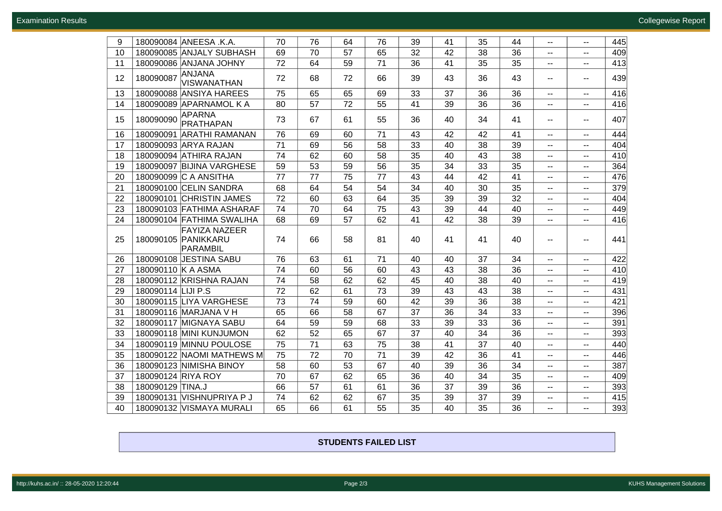| 9  | 180090084 ANEESA .K.A.                                  | 70 | 76 | 64 | 76 | 39 | 41 | 35 | 44 |                             |                          | 445 |
|----|---------------------------------------------------------|----|----|----|----|----|----|----|----|-----------------------------|--------------------------|-----|
|    |                                                         |    |    |    |    |    |    |    |    | ۰.                          | --                       |     |
| 10 | 180090085 ANJALY SUBHASH                                | 69 | 70 | 57 | 65 | 32 | 42 | 38 | 36 | $\overline{\phantom{a}}$    | --                       | 409 |
| 11 | 180090086 ANJANA JOHNY                                  | 72 | 64 | 59 | 71 | 36 | 41 | 35 | 35 | $-$                         | $-$                      | 413 |
| 12 | ANJANA<br>180090087<br><b>VISWANATHAN</b>               | 72 | 68 | 72 | 66 | 39 | 43 | 36 | 43 | $\sim$ $-$                  | --                       | 439 |
| 13 | 180090088 ANSIYA HAREES                                 | 75 | 65 | 65 | 69 | 33 | 37 | 36 | 36 | --                          | --                       | 416 |
| 14 | 180090089 APARNAMOL K A                                 | 80 | 57 | 72 | 55 | 41 | 39 | 36 | 36 | $- -$                       | --                       | 416 |
| 15 | <b>APARNA</b><br>180090090<br>PRATHAPAN                 | 73 | 67 | 61 | 55 | 36 | 40 | 34 | 41 | $\mathbf{u}$                | $-$                      | 407 |
| 16 | 180090091 ARATHI RAMANAN                                | 76 | 69 | 60 | 71 | 43 | 42 | 42 | 41 | $\overline{\phantom{a}}$    | $-$                      | 444 |
| 17 | 180090093 ARYA RAJAN                                    | 71 | 69 | 56 | 58 | 33 | 40 | 38 | 39 | ۰.                          | $-$                      | 404 |
| 18 | 180090094 ATHIRA RAJAN                                  | 74 | 62 | 60 | 58 | 35 | 40 | 43 | 38 | $- -$                       | $-$                      | 410 |
| 19 | 180090097 BIJINA VARGHESE                               | 59 | 53 | 59 | 56 | 35 | 34 | 33 | 35 | $\mathbf{u}$                | $-$                      | 364 |
| 20 | 180090099 C A ANSITHA                                   | 77 | 77 | 75 | 77 | 43 | 44 | 42 | 41 | $\mathbf{u}$                | --                       | 476 |
| 21 | 180090100 CELIN SANDRA                                  | 68 | 64 | 54 | 54 | 34 | 40 | 30 | 35 | $\mathcal{L} = \mathcal{L}$ | --                       | 379 |
| 22 | 180090101 CHRISTIN JAMES                                | 72 | 60 | 63 | 64 | 35 | 39 | 39 | 32 | $\mathbf{u}$                | ۰.                       | 404 |
| 23 | 180090103 FATHIMA ASHARAF                               | 74 | 70 | 64 | 75 | 43 | 39 | 44 | 40 | $-$                         | $-$                      | 449 |
| 24 | 180090104 FATHIMA SWALIHA                               | 68 | 69 | 57 | 62 | 41 | 42 | 38 | 39 | ۰.                          | $-$                      | 416 |
| 25 | <b>FAYIZA NAZEER</b><br>180090105 PANIKKARU<br>PARAMBIL | 74 | 66 | 58 | 81 | 40 | 41 | 41 | 40 | $- -$                       | --                       | 441 |
| 26 | 180090108 JESTINA SABU                                  | 76 | 63 | 61 | 71 | 40 | 40 | 37 | 34 | $\sim$                      | --                       | 422 |
| 27 | 180090110 K A ASMA                                      | 74 | 60 | 56 | 60 | 43 | 43 | 38 | 36 | $- -$                       | $- -$                    | 410 |
| 28 | 180090112 KRISHNA RAJAN                                 | 74 | 58 | 62 | 62 | 45 | 40 | 38 | 40 | ۰.                          | $-$                      | 419 |
| 29 | 180090114 LIJI P.S                                      | 72 | 62 | 61 | 73 | 39 | 43 | 43 | 38 | $-$                         | --                       | 431 |
| 30 | 180090115 LIYA VARGHESE                                 | 73 | 74 | 59 | 60 | 42 | 39 | 36 | 38 | $-$                         | $-$                      | 421 |
| 31 | 180090116 MARJANA V H                                   | 65 | 66 | 58 | 67 | 37 | 36 | 34 | 33 | $- -$                       | $-$                      | 396 |
| 32 | 180090117 MIGNAYA SABU                                  | 64 | 59 | 59 | 68 | 33 | 39 | 33 | 36 | --                          | $-$                      | 391 |
| 33 | 180090118 MINI KUNJUMON                                 | 62 | 52 | 65 | 67 | 37 | 40 | 34 | 36 | --                          | $-$                      | 393 |
| 34 | 180090119 MINNU POULOSE                                 | 75 | 71 | 63 | 75 | 38 | 41 | 37 | 40 | $\mathcal{L} = \mathcal{L}$ | --                       | 440 |
| 35 | 180090122 NAOMI MATHEWS M                               | 75 | 72 | 70 | 71 | 39 | 42 | 36 | 41 | $\sim$                      | --                       | 446 |
| 36 | 180090123 NIMISHA BINOY                                 | 58 | 60 | 53 | 67 | 40 | 39 | 36 | 34 | $\mathbf{u}$                | $\overline{\phantom{a}}$ | 387 |
| 37 | 180090124 RIYA ROY                                      | 70 | 67 | 62 | 65 | 36 | 40 | 34 | 35 | $-$                         | --                       | 409 |
| 38 | 180090129 TINA.J                                        | 66 | 57 | 61 | 61 | 36 | 37 | 39 | 36 | ۰.                          | --                       | 393 |
| 39 | 180090131 VISHNUPRIYA P J                               | 74 | 62 | 62 | 67 | 35 | 39 | 37 | 39 | --                          | --                       | 415 |
| 40 | 180090132 VISMAYA MURALI                                | 65 | 66 | 61 | 55 | 35 | 40 | 35 | 36 | --                          | --                       | 393 |

**STUDENTS FAILED LIST**